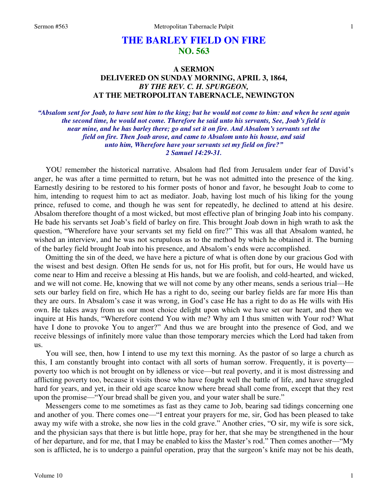# **THE BARLEY FIELD ON FIRE NO. 563**

## **A SERMON DELIVERED ON SUNDAY MORNING, APRIL 3, 1864,**  *BY THE REV. C. H. SPURGEON,*  **AT THE METROPOLITAN TABERNACLE, NEWINGTON**

*"Absalom sent for Joab, to have sent him to the king; but he would not come to him: and when he sent again the second time, he would not come. Therefore he said unto his servants, See, Joab's field is near mine, and he has barley there; go and set it on fire. And Absalom's servants set the field on fire. Then Joab arose, and came to Absalom unto his house, and said unto him, Wherefore have your servants set my field on fire?" 2 Samuel 14:29-31.* 

YOU remember the historical narrative. Absalom had fled from Jerusalem under fear of David's anger, he was after a time permitted to return, but he was not admitted into the presence of the king. Earnestly desiring to be restored to his former posts of honor and favor, he besought Joab to come to him, intending to request him to act as mediator. Joab, having lost much of his liking for the young prince, refused to come, and though he was sent for repeatedly, he declined to attend at his desire. Absalom therefore thought of a most wicked, but most effective plan of bringing Joab into his company. He bade his servants set Joab's field of barley on fire. This brought Joab down in high wrath to ask the question, "Wherefore have your servants set my field on fire?" This was all that Absalom wanted, he wished an interview, and he was not scrupulous as to the method by which he obtained it. The burning of the barley field brought Joab into his presence, and Absalom's ends were accomplished.

Omitting the sin of the deed, we have here a picture of what is often done by our gracious God with the wisest and best design. Often He sends for us, not for His profit, but for ours, He would have us come near to Him and receive a blessing at His hands, but we are foolish, and cold-hearted, and wicked, and we will not come. He, knowing that we will not come by any other means, sends a serious trial—He sets our barley field on fire, which He has a right to do, seeing our barley fields are far more His than they are ours. In Absalom's case it was wrong, in God's case He has a right to do as He wills with His own. He takes away from us our most choice delight upon which we have set our heart, and then we inquire at His hands, "Wherefore contend You with me? Why am I thus smitten with Your rod? What have I done to provoke You to anger?" And thus we are brought into the presence of God, and we receive blessings of infinitely more value than those temporary mercies which the Lord had taken from us.

You will see, then, how I intend to use my text this morning. As the pastor of so large a church as this, I am constantly brought into contact with all sorts of human sorrow. Frequently, it is poverty poverty too which is not brought on by idleness or vice—but real poverty, and it is most distressing and afflicting poverty too, because it visits those who have fought well the battle of life, and have struggled hard for years, and yet, in their old age scarce know where bread shall come from, except that they rest upon the promise—"Your bread shall be given you, and your water shall be sure."

Messengers come to me sometimes as fast as they came to Job, bearing sad tidings concerning one and another of you. There comes one—"I entreat your prayers for me, sir, God has been pleased to take away my wife with a stroke, she now lies in the cold grave." Another cries, "O sir, my wife is sore sick, and the physician says that there is but little hope, pray for her, that she may be strengthened in the hour of her departure, and for me, that I may be enabled to kiss the Master's rod." Then comes another—"My son is afflicted, he is to undergo a painful operation, pray that the surgeon's knife may not be his death,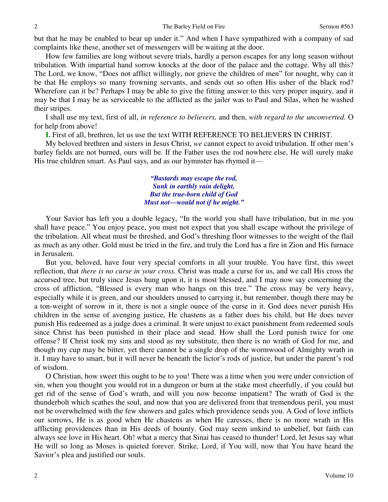but that he may be enabled to bear up under it." And when I have sympathized with a company of sad complaints like these, another set of messengers will be waiting at the door.

How few families are long without severe trials, hardly a person escapes for any long season without tribulation. With impartial hand sorrow knocks at the door of the palace and the cottage. Why all this? The Lord, we know, "Does not afflict willingly, nor grieve the children of men" for nought, why can it be that He employs so many frowning servants, and sends out so often His usher of the black rod? Wherefore can it be? Perhaps I may be able to give the fitting answer to this very proper inquiry, and it may be that I may be as serviceable to the afflicted as the jailer was to Paul and Silas, when he washed their stripes.

I shall use my text, first of all, *in reference to believers,* and then, *with regard to the unconverted.* O for help from above!

**I.** First of all, brethren, let us use the text WITH REFERENCE TO BELIEVERS IN CHRIST.

My beloved brethren and sisters in Jesus Christ, *we* cannot expect to avoid tribulation. If other men's barley fields are not burned, ours will be. If the Father uses the rod nowhere else, He will surely make His true children smart. As Paul says, and as our hymnster has rhymed it—

> *"Bastards may escape the rod, Sunk in earthly vain delight, But the true-born child of God Must not—would not if he might."*

Your Savior has left you a double legacy, "In the world you shall have tribulation, but in me you shall have peace." You enjoy peace, you must not expect that you shall escape without the privilege of the tribulation. All wheat must be threshed, and God's threshing floor witnesses to the weight of the flail as much as any other. Gold must be tried in the fire, and truly the Lord has a fire in Zion and His furnace in Jerusalem.

But you, beloved, have four very special comforts in all your trouble. You have first, this sweet reflection, that *there is no curse in your cross.* Christ was made a curse for us, and we call His cross the accursed tree, but truly since Jesus hung upon it, it is most blessed, and I may now say concerning the cross of affliction, "Blessed is every man who hangs on this tree." The cross may be very heavy, especially while it is green, and our shoulders unused to carrying it, but remember, though there may be a ton-weight of sorrow in it, there is not a single ounce of the curse in it. God does never punish His children in the sense of avenging justice, He chastens as a father does his child, but He does never punish His redeemed as a judge does a criminal. It were unjust to exact punishment from redeemed souls since Christ has been punished in their place and stead. How shall the Lord punish twice for one offense? If Christ took my sins and stood as my substitute, then there is no wrath of God for me, and though my cup may be bitter, yet there cannot be a single drop of the wormwood of Almighty wrath in it. I may have to smart, but it will never be beneath the lictor's rods of justice, but under the parent's rod of wisdom.

O Christian, how sweet this ought to be to you! There was a time when you were under conviction of sin, when you thought you would rot in a dungeon or burn at the stake most cheerfully, if you could but get rid of the sense of God's wrath, and will you now become impatient? The wrath of God is the thunderbolt which scathes the soul, and now that you are delivered from that tremendous peril, you must not be overwhelmed with the few showers and gales which providence sends you. A God of love inflicts our sorrows, He is as good when He chastens as when He caresses, there is no more wrath in His afflicting providences than in His deeds of bounty. God may seem unkind to unbelief, but faith can always see love in His heart. Oh! what a mercy that Sinai has ceased to thunder! Lord, let Jesus say what He will so long as Moses is quieted forever. Strike, Lord, if You will, now that You have heard the Savior's plea and justified our souls.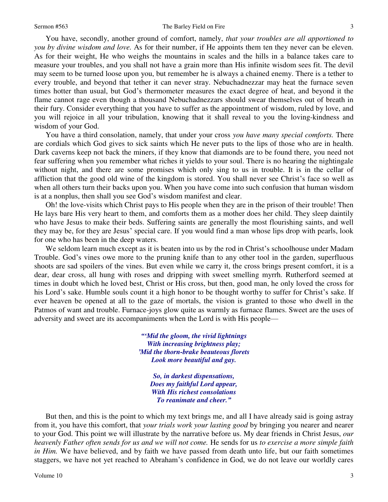## Sermon #563 The Barley Field on Fire

You have, secondly, another ground of comfort, namely, *that your troubles are all apportioned to you by divine wisdom and love.* As for their number, if He appoints them ten they never can be eleven. As for their weight, He who weighs the mountains in scales and the hills in a balance takes care to measure your troubles, and you shall not have a grain more than His infinite wisdom sees fit. The devil may seem to be turned loose upon you, but remember he is always a chained enemy. There is a tether to every trouble, and beyond that tether it can never stray. Nebuchadnezzar may heat the furnace seven times hotter than usual, but God's thermometer measures the exact degree of heat, and beyond it the flame cannot rage even though a thousand Nebuchadnezzars should swear themselves out of breath in their fury. Consider everything that you have to suffer as the appointment of wisdom, ruled by love, and you will rejoice in all your tribulation, knowing that it shall reveal to you the loving-kindness and wisdom of your God.

You have a third consolation, namely, that under your cross *you have many special comforts.* There are cordials which God gives to sick saints which He never puts to the lips of those who are in health. Dark caverns keep not back the miners, if they know that diamonds are to be found there, you need not fear suffering when you remember what riches it yields to your soul. There is no hearing the nightingale without night, and there are some promises which only sing to us in trouble. It is in the cellar of affliction that the good old wine of the kingdom is stored. You shall never see Christ's face so well as when all others turn their backs upon you. When you have come into such confusion that human wisdom is at a nonplus, then shall you see God's wisdom manifest and clear.

Oh! the love-visits which Christ pays to His people when they are in the prison of their trouble! Then He lays bare His very heart to them, and comforts them as a mother does her child. They sleep daintily who have Jesus to make their beds. Suffering saints are generally the most flourishing saints, and well they may be, for they are Jesus' special care. If you would find a man whose lips drop with pearls, look for one who has been in the deep waters.

We seldom learn much except as it is beaten into us by the rod in Christ's schoolhouse under Madam Trouble. God's vines owe more to the pruning knife than to any other tool in the garden, superfluous shoots are sad spoilers of the vines. But even while we carry it, the cross brings present comfort, it is a dear, dear cross, all hung with roses and dripping with sweet smelling myrrh. Rutherford seemed at times in doubt which he loved best, Christ or His cross, but then, good man, he only loved the cross for his Lord's sake. Humble souls count it a high honor to be thought worthy to suffer for Christ's sake. If ever heaven be opened at all to the gaze of mortals, the vision is granted to those who dwell in the Patmos of want and trouble. Furnace-joys glow quite as warmly as furnace flames. Sweet are the uses of adversity and sweet are its accompaniments when the Lord is with His people—

> *"'Mid the gloom, the vivid lightnings With increasing brightness play; 'Mid the thorn-brake beauteous florets Look more beautiful and gay.*

*So, in darkest dispensations, Does my faithful Lord appear, With His richest consolations To reanimate and cheer."*

But then, and this is the point to which my text brings me, and all I have already said is going astray from it, you have this comfort, that *your trials work your lasting good* by bringing you nearer and nearer to your God. This point we will illustrate by the narrative before us. My dear friends in Christ Jesus, *our heavenly Father often sends for us and we will not come.* He sends for us *to exercise a more simple faith in Him.* We have believed, and by faith we have passed from death unto life, but our faith sometimes staggers, we have not yet reached to Abraham's confidence in God, we do not leave our worldly cares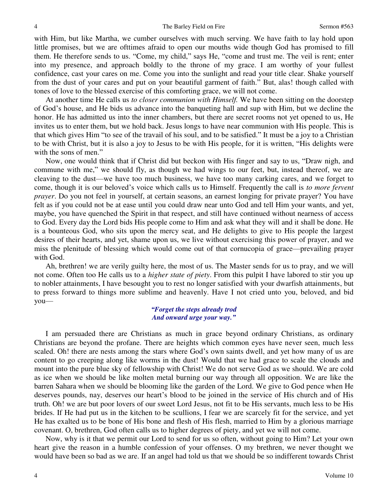with Him, but like Martha, we cumber ourselves with much serving. We have faith to lay hold upon little promises, but we are ofttimes afraid to open our mouths wide though God has promised to fill them. He therefore sends to us. "Come, my child," says He, "come and trust me. The veil is rent; enter into my presence, and approach boldly to the throne of my grace. I am worthy of your fullest confidence, cast your cares on me. Come you into the sunlight and read your title clear. Shake yourself from the dust of your cares and put on your beautiful garment of faith." But, alas! though called with tones of love to the blessed exercise of this comforting grace, we will not come.

At another time He calls us *to closer communion with Himself.* We have been sitting on the doorstep of God's house, and He bids us advance into the banqueting hall and sup with Him, but we decline the honor. He has admitted us into the inner chambers, but there are secret rooms not yet opened to us, He invites us to enter them, but we hold back. Jesus longs to have near communion with His people. This is that which gives Him "to see of the travail of his soul, and to be satisfied." It must be a joy to a Christian to be with Christ, but it is also a joy to Jesus to be with His people, for it is written, "His delights were with the sons of men."

Now, one would think that if Christ did but beckon with His finger and say to us, "Draw nigh, and commune with me," we should fly, as though we had wings to our feet, but, instead thereof, we are cleaving to the dust—we have too much business, we have too many carking cares, and we forget to come, though it is our beloved's voice which calls us to Himself. Frequently the call is *to more fervent prayer*. Do you not feel in yourself, at certain seasons, an earnest longing for private prayer? You have felt as if you could not be at ease until you could draw near unto God and tell Him your wants, and yet, maybe, you have quenched the Spirit in that respect, and still have continued without nearness of access to God. Every day the Lord bids His people come to Him and ask what they will and it shall be done. He is a bounteous God, who sits upon the mercy seat, and He delights to give to His people the largest desires of their hearts, and yet, shame upon us, we live without exercising this power of prayer, and we miss the plenitude of blessing which would come out of that cornucopia of grace—prevailing prayer with God.

Ah, brethren! we are verily guilty here, the most of us. The Master sends for us to pray, and we will not come. Often too He calls us to a *higher state of piety*. From this pulpit I have labored to stir you up to nobler attainments, I have besought you to rest no longer satisfied with your dwarfish attainments, but to press forward to things more sublime and heavenly. Have I not cried unto you, beloved, and bid you—

## *"Forget the steps already trod And onward urge your way."*

I am persuaded there are Christians as much in grace beyond ordinary Christians, as ordinary Christians are beyond the profane. There are heights which common eyes have never seen, much less scaled. Oh! there are nests among the stars where God's own saints dwell, and yet how many of us are content to go creeping along like worms in the dust! Would that we had grace to scale the clouds and mount into the pure blue sky of fellowship with Christ! We do not serve God as we should. We are cold as ice when we should be like molten metal burning our way through all opposition. We are like the barren Sahara when we should be blooming like the garden of the Lord. We give to God pence when He deserves pounds, nay, deserves our heart's blood to be joined in the service of His church and of His truth. Oh! we are but poor lovers of our sweet Lord Jesus, not fit to be His servants, much less to be His brides. If He had put us in the kitchen to be scullions, I fear we are scarcely fit for the service, and yet He has exalted us to be bone of His bone and flesh of His flesh, married to Him by a glorious marriage covenant. O, brethren, God often calls us to higher degrees of piety, and yet we will not come.

Now, why is it that we permit our Lord to send for us so often, without going to Him? Let your own heart give the reason in a humble confession of your offenses. O my brethren, we never thought we would have been so bad as we are. If an angel had told us that we should be so indifferent towards Christ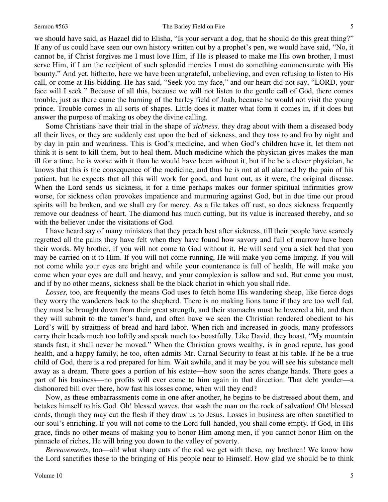#### Sermon #563 The Barley Field on Fire

we should have said, as Hazael did to Elisha, "Is your servant a dog, that he should do this great thing?" If any of us could have seen our own history written out by a prophet's pen, we would have said, "No, it cannot be, if Christ forgives me I must love Him, if He is pleased to make me His own brother, I must serve Him, if I am the recipient of such splendid mercies I must do something commensurate with His bounty." And yet, hitherto, here we have been ungrateful, unbelieving, and even refusing to listen to His call, or come at His bidding. He has said, "Seek you my face," and our heart did not say, "LORD, your face will I seek." Because of all this, because we will not listen to the gentle call of God, there comes trouble, just as there came the burning of the barley field of Joab, because he would not visit the young prince. Trouble comes in all sorts of shapes. Little does it matter what form it comes in, if it does but answer the purpose of making us obey the divine calling.

Some Christians have their trial in the shape of *sickness,* they drag about with them a diseased body all their lives, or they are suddenly cast upon the bed of sickness, and they toss to and fro by night and by day in pain and weariness. This is God's medicine, and when God's children have it, let them not think it is sent to kill them, but to heal them. Much medicine which the physician gives makes the man ill for a time, he is worse with it than he would have been without it, but if he be a clever physician, he knows that this is the consequence of the medicine, and thus he is not at all alarmed by the pain of his patient, but he expects that all this will work for good, and hunt out, as it were, the original disease. When the Lord sends us sickness, it for a time perhaps makes our former spiritual infirmities grow worse, for sickness often provokes impatience and murmuring against God, but in due time our proud spirits will be broken, and we shall cry for mercy. As a file takes off rust, so does sickness frequently remove our deadness of heart. The diamond has much cutting, but its value is increased thereby, and so with the believer under the visitations of God.

I have heard say of many ministers that they preach best after sickness, till their people have scarcely regretted all the pains they have felt when they have found how savory and full of marrow have been their words. My brother, if you will not come to God without it, He will send you a sick bed that you may be carried on it to Him. If you will not come running, He will make you come limping. If you will not come while your eyes are bright and while your countenance is full of health, He will make you come when your eyes are dull and heavy, and your complexion is sallow and sad. But come you must, and if by no other means, sickness shall be the black chariot in which you shall ride.

*Losses,* too, are frequently the means God uses to fetch home His wandering sheep, like fierce dogs they worry the wanderers back to the shepherd. There is no making lions tame if they are too well fed, they must be brought down from their great strength, and their stomachs must be lowered a bit, and then they will submit to the tamer's hand, and often have we seen the Christian rendered obedient to his Lord's will by straitness of bread and hard labor. When rich and increased in goods, many professors carry their heads much too loftily and speak much too boastfully. Like David, they boast, "My mountain stands fast; it shall never be moved." When the Christian grows wealthy, is in good repute, has good health, and a happy family, he too, often admits Mr. Carnal Security to feast at his table. If he be a true child of God, there is a rod prepared for him. Wait awhile, and it may be you will see his substance melt away as a dream. There goes a portion of his estate—how soon the acres change hands. There goes a part of his business—no profits will ever come to him again in that direction. That debt yonder—a dishonored bill over there, how fast his losses come, when will they end?

Now, as these embarrassments come in one after another, he begins to be distressed about them, and betakes himself to his God. Oh! blessed waves, that wash the man on the rock of salvation! Oh! blessed cords, though they may cut the flesh if they draw us to Jesus. Losses in business are often sanctified to our soul's enriching. If you will not come to the Lord full-handed, you shall come empty. If God, in His grace, finds no other means of making you to honor Him among men, if you cannot honor Him on the pinnacle of riches, He will bring you down to the valley of poverty.

*Bereavements*, too—ah! what sharp cuts of the rod we get with these, my brethren! We know how the Lord sanctifies these to the bringing of His people near to Himself. How glad we should be to think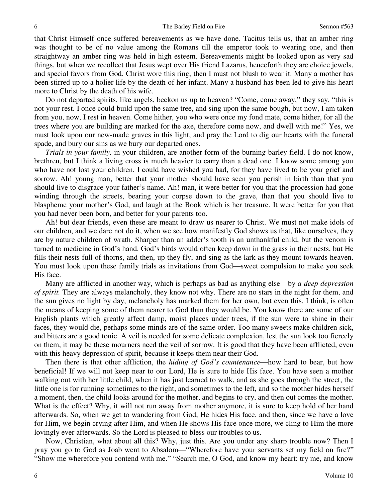that Christ Himself once suffered bereavements as we have done. Tacitus tells us, that an amber ring was thought to be of no value among the Romans till the emperor took to wearing one, and then straightway an amber ring was held in high esteem. Bereavements might be looked upon as very sad things, but when we recollect that Jesus wept over His friend Lazarus, henceforth they are choice jewels, and special favors from God. Christ wore this ring, then I must not blush to wear it. Many a mother has been stirred up to a holier life by the death of her infant. Many a husband has been led to give his heart more to Christ by the death of his wife.

Do not departed spirits, like angels, beckon us up to heaven? "Come, come away," they say, "this is not your rest. I once could build upon the same tree, and sing upon the same bough, but now, I am taken from you, now, I rest in heaven. Come hither, you who were once my fond mate, come hither, for all the trees where you are building are marked for the axe, therefore come now, and dwell with me!" Yes, we must look upon our new-made graves in this light, and pray the Lord to dig our hearts with the funeral spade, and bury our sins as we bury our departed ones.

*Trials in your family,* in your children, are another form of the burning barley field. I do not know, brethren, but I think a living cross is much heavier to carry than a dead one. I know some among you who have not lost your children, I could have wished you had, for they have lived to be your grief and sorrow. Ah! young man, better that your mother should have seen you perish in birth than that you should live to disgrace your father's name. Ah! man, it were better for you that the procession had gone winding through the streets, bearing your corpse down to the grave, than that you should live to blaspheme your mother's God, and laugh at the Book which is her treasure. It were better for you that you had never been born, and better for your parents too.

Ah! but dear friends, even these are meant to draw us nearer to Christ. We must not make idols of our children, and we dare not do it, when we see how manifestly God shows us that, like ourselves, they are by nature children of wrath. Sharper than an adder's tooth is an unthankful child, but the venom is turned to medicine in God's hand. God's birds would often keep down in the grass in their nests, but He fills their nests full of thorns, and then, up they fly, and sing as the lark as they mount towards heaven. You must look upon these family trials as invitations from God—sweet compulsion to make you seek His face.

Many are afflicted in another way, which is perhaps as bad as anything else—by *a deep depression of spirit.* They are always melancholy, they know not why. There are no stars in the night for them, and the sun gives no light by day, melancholy has marked them for her own, but even this, I think, is often the means of keeping some of them nearer to God than they would be. You know there are some of our English plants which greatly affect damp, moist places under trees, if the sun were to shine in their faces, they would die, perhaps some minds are of the same order. Too many sweets make children sick, and bitters are a good tonic. A veil is needed for some delicate complexion, lest the sun look too fiercely on them, it may be these mourners need the veil of sorrow. It is good that they have been afflicted, even with this heavy depression of spirit, because it keeps them near their God.

Then there is that other affliction, the *hiding of God's countenance*—how hard to bear, but how beneficial! If we will not keep near to our Lord, He is sure to hide His face. You have seen a mother walking out with her little child, when it has just learned to walk, and as she goes through the street, the little one is for running sometimes to the right, and sometimes to the left, and so the mother hides herself a moment, then, the child looks around for the mother, and begins to cry, and then out comes the mother. What is the effect? Why, it will not run away from mother anymore, it is sure to keep hold of her hand afterwards. So, when we get to wandering from God, He hides His face, and then, since we have a love for Him, we begin crying after Him, and when He shows His face once more, we cling to Him the more lovingly ever afterwards. So the Lord is pleased to bless our troubles to us.

Now, Christian, what about all this? Why, just this. Are you under any sharp trouble now? Then I pray you go to God as Joab went to Absalom—"Wherefore have your servants set my field on fire?" "Show me wherefore you contend with me." "Search me, O God, and know my heart: try me, and know

6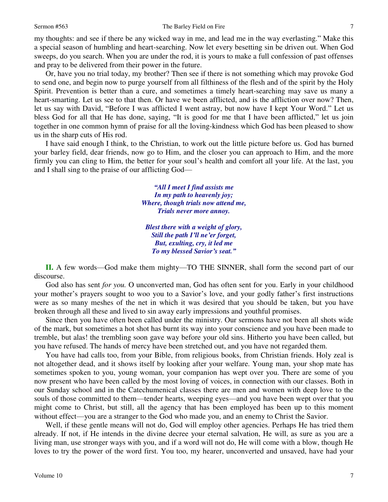## Sermon #563 The Barley Field on Fire

my thoughts: and see if there be any wicked way in me, and lead me in the way everlasting." Make this a special season of humbling and heart-searching. Now let every besetting sin be driven out. When God sweeps, do you search. When you are under the rod, it is yours to make a full confession of past offenses and pray to be delivered from their power in the future.

Or, have you no trial today, my brother? Then see if there is not something which may provoke God to send one, and begin now to purge yourself from all filthiness of the flesh and of the spirit by the Holy Spirit. Prevention is better than a cure, and sometimes a timely heart-searching may save us many a heart-smarting. Let us see to that then. Or have we been afflicted, and is the affliction over now? Then, let us say with David, "Before I was afflicted I went astray, but now have I kept Your Word." Let us bless God for all that He has done, saying, "It is good for me that I have been afflicted," let us join together in one common hymn of praise for all the loving-kindness which God has been pleased to show us in the sharp cuts of His rod.

I have said enough I think, to the Christian, to work out the little picture before us. God has burned your barley field, dear friends, now go to Him, and the closer you can approach to Him, and the more firmly you can cling to Him, the better for your soul's health and comfort all your life. At the last, you and I shall sing to the praise of our afflicting God—

> *"All I meet I find assists me In my path to heavenly joy; Where, though trials now attend me, Trials never more annoy.*

*Blest there with a weight of glory, Still the path I'll ne'er forget, But, exulting, cry, it led me To my blessed Savior's seat."*

**II.** A few words—God make them mighty—TO THE SINNER, shall form the second part of our discourse.

God also has sent *for you.* O unconverted man, God has often sent for you. Early in your childhood your mother's prayers sought to woo you to a Savior's love, and your godly father's first instructions were as so many meshes of the net in which it was desired that you should be taken, but you have broken through all these and lived to sin away early impressions and youthful promises.

Since then you have often been called under the ministry. Our sermons have not been all shots wide of the mark, but sometimes a hot shot has burnt its way into your conscience and you have been made to tremble, but alas! the trembling soon gave way before your old sins. Hitherto you have been called, but you have refused. The hands of mercy have been stretched out, and you have not regarded them.

You have had calls too, from your Bible, from religious books, from Christian friends. Holy zeal is not altogether dead, and it shows itself by looking after your welfare. Young man, your shop mate has sometimes spoken to you, young woman, your companion has wept over you. There are some of you now present who have been called by the most loving of voices, in connection with our classes. Both in our Sunday school and in the Catechumenical classes there are men and women with deep love to the souls of those committed to them—tender hearts, weeping eyes—and you have been wept over that you might come to Christ, but still, all the agency that has been employed has been up to this moment without effect—you are a stranger to the God who made you, and an enemy to Christ the Savior.

Well, if these gentle means will not do, God will employ other agencies. Perhaps He has tried them already. If not, if He intends in the divine decree your eternal salvation, He will, as sure as you are a living man, use stronger ways with you, and if a word will not do, He will come with a blow, though He loves to try the power of the word first. You too, my hearer, unconverted and unsaved, have had your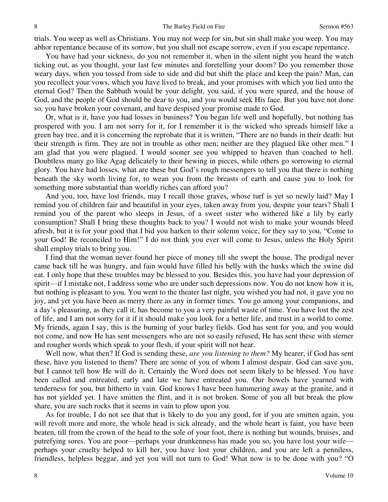trials. You weep as well as Christians. You may not weep for sin, but sin shall make you weep. You may abhor repentance because of its sorrow, but you shall not escape sorrow, even if you escape repentance.

You have had your sickness, do you not remember it, when in the silent night you heard the watch ticking out, as you thought, your last few minutes and foretelling your doom? Do you remember those weary days, when you tossed from side to side and did but shift the place and keep the pain? Man, can you recollect your vows, which you have lived to break, and your promises with which you lied unto the eternal God? Then the Sabbath would be your delight, you said, if you were spared, and the house of God, and the people of God should be dear to you, and you would seek His face. But you have not done so, you have broken your covenant, and have despised your promise made to God.

Or, what is it, have you had losses in business? You began life well and hopefully, but nothing has prospered with you. I am not sorry for it, for I remember it is the wicked who spreads himself like a green bay tree, and it is concerning the reprobate that it is written, "There are no bands in their death: but their strength is firm. They are not in trouble as other men; neither are they plagued like other men." I am glad that you were plagued. I would sooner see you whipped to heaven than coached to hell. Doubtless many go like Agag delicately to their hewing in pieces, while others go sorrowing to eternal glory. You have had losses, what are these but God's rough messengers to tell you that there is nothing beneath the sky worth living for, to wean you from the breasts of earth and cause you to look for something more substantial than worldly riches can afford you?

And you, too, have lost friends, may I recall those graves, whose turf is yet so newly laid? May I remind you of children fair and beautiful in your eyes, taken away from you, despite your tears? Shall I remind you of the parent who sleeps in Jesus, of a sweet sister who withered like a lily by early consumption? Shall I bring these thoughts back to you? I would not wish to make your wounds bleed afresh, but it is for your good that I bid you harken to their solemn voice, for they say to you, "Come to your God! Be reconciled to Him!" I do not think you ever will come to Jesus, unless the Holy Spirit shall employ trials to bring you.

I find that the woman never found her piece of money till she swept the house. The prodigal never came back till he was hungry, and fain would have filled his belly with the husks which the swine did eat. I only hope that these troubles may be blessed to you. Besides this, you have had your depression of spirit—if I mistake not, I address some who are under such depressions now. You do not know how it is, but nothing is pleasant to you. You went to the theater last night, you wished you had not, it gave you no joy, and yet you have been as merry there as any in former times. You go among your companions, and a day's pleasuring, as they call it, has become to you a very painful waste of time. You have lost the zest of life, and I am not sorry for it if it should make you look for a better life, and trust in a world to come. My friends, again I say, this is the burning of your barley fields. God has sent for you, and you would not come, and now He has sent messengers who are not so easily refused, He has sent these with sterner and rougher words which speak to your flesh, if your spirit will not hear.

Well now, what then? If God is sending these, *are you listening to them?* My hearer, if God has sent these, have you listened to them? There are some of you of whom I almost despair. God can save you, but I cannot tell how He will do it. Certainly the Word does not seem likely to be blessed. You have been called and entreated, early and late we have entreated you. Our bowels have yearned with tenderness for you, but hitherto in vain. God knows I have been hammering away at the granite, and it has not yielded yet. I have smitten the flint, and it is not broken. Some of you all but break the plow share, you are such rocks that it seems in vain to plow upon you.

As for trouble, I do not see that that is likely to do you any good, for if you are smitten again, you will revolt more and more, the whole head is sick already, and the whole heart is faint, you have been beaten, till from the crown of the head to the sole of your foot, there is nothing but wounds, bruises, and putrefying sores. You are poor—perhaps your drunkenness has made you so, you have lost your wife perhaps your cruelty helped to kill her, you have lost your children, and you are left a penniless, friendless, helpless beggar, and yet you will not turn to God! What now is to be done with you? "O